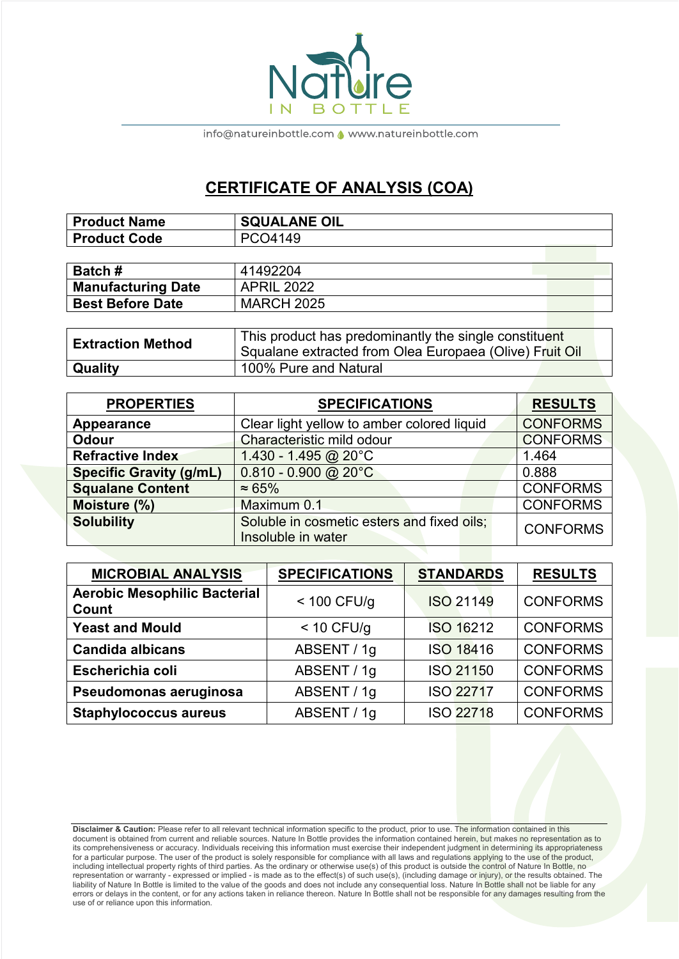

info@natureinbottle.com <a>
</a>
www.natureinbottle.com</a>
m

## **CERTIFICATE OF ANALYSIS (COA)**

| <b>Product Name</b> | <b>SQUALANE OIL</b> |
|---------------------|---------------------|
| Product Code        | PCO4149             |

| <b>Batch#</b>             | 41492204          |  |
|---------------------------|-------------------|--|
| <b>Manufacturing Date</b> | <b>APRIL 2022</b> |  |
| <b>Best Before Date</b>   | <b>MARCH 2025</b> |  |
|                           |                   |  |

| <b>Extraction Method</b> | This product has predominantly the single constituent<br>Squalane extracted from Olea Europaea (Olive) Fruit Oil |
|--------------------------|------------------------------------------------------------------------------------------------------------------|
| Quality                  | 100% Pure and Natural                                                                                            |

| <b>PROPERTIES</b>              | <b>SPECIFICATIONS</b>                                            | <b>RESULTS</b>  |
|--------------------------------|------------------------------------------------------------------|-----------------|
| Appearance                     | Clear light yellow to amber colored liquid                       | <b>CONFORMS</b> |
| <b>Odour</b>                   | Characteristic mild odour                                        | <b>CONFORMS</b> |
| <b>Refractive Index</b>        | 1.430 - 1.495 @ $20^{\circ}$ C                                   | 1.464           |
| <b>Specific Gravity (g/mL)</b> | $0.810 - 0.900$ @ 20°C                                           | 0.888           |
| <b>Squalane Content</b>        | $\approx 65\%$                                                   | <b>CONFORMS</b> |
| Moisture (%)                   | Maximum 0.1                                                      | <b>CONFORMS</b> |
| <b>Solubility</b>              | Soluble in cosmetic esters and fixed oils;<br>Insoluble in water | <b>CONFORMS</b> |

| <b>MICROBIAL ANALYSIS</b>                    | <b>SPECIFICATIONS</b> | <b>STANDARDS</b> | <b>RESULTS</b>  |
|----------------------------------------------|-----------------------|------------------|-----------------|
| <b>Aerobic Mesophilic Bacterial</b><br>Count | $<$ 100 CFU/g         | <b>ISO 21149</b> | <b>CONFORMS</b> |
| <b>Yeast and Mould</b>                       | $<$ 10 CFU/g          | <b>ISO 16212</b> | <b>CONFORMS</b> |
| <b>Candida albicans</b>                      | ABSENT / 1g           | ISO 18416        | <b>CONFORMS</b> |
| Escherichia coli                             | ABSENT / 1g           | ISO 21150        | <b>CONFORMS</b> |
| Pseudomonas aeruginosa                       | ABSENT / 1g           | <b>ISO 22717</b> | <b>CONFORMS</b> |
| <b>Staphylococcus aureus</b>                 | ABSENT / 1g           | <b>ISO 22718</b> | <b>CONFORMS</b> |

**Disclaimer & Caution:** Please refer to all relevant technical information specific to the product, prior to use. The information contained in this document is obtained from current and reliable sources. Nature In Bottle provides the information contained herein, but makes no representation as to its comprehensiveness or accuracy. Individuals receiving this information must exercise their independent judgment in determining its appropriateness for a particular purpose. The user of the product is solely responsible for compliance with all laws and regulations applying to the use of the product, including intellectual property rights of third parties. As the ordinary or otherwise use(s) of this product is outside the control of Nature In Bottle, no representation or warranty - expressed or implied - is made as to the effect(s) of such use(s), (including damage or injury), or the results obtained. The liability of Nature In Bottle is limited to the value of the goods and does not include any consequential loss. Nature In Bottle shall not be liable for any errors or delays in the content, or for any actions taken in reliance thereon. Nature In Bottle shall not be responsible for any damages resulting from the use of or reliance upon this information.